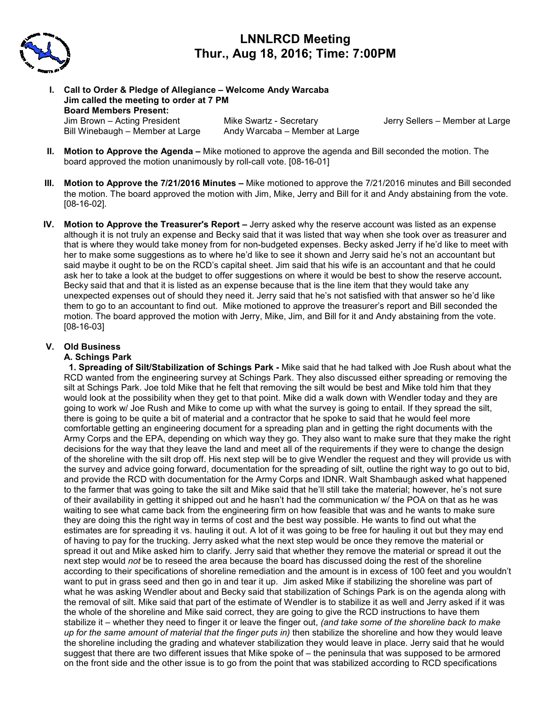

# **LNNLRCD Meeting Thur., Aug 18, 2016; Time: 7:00PM**

**I. Call to Order & Pledge of Allegiance – Welcome Andy Warcaba Jim called the meeting to order at 7 PM Board Members Present:**  Jim Brown – Acting President Mike Swartz - Secretary Jerry Sellers – Member at Large Bill Winebaugh – Member at Large Andy Warcaba – Member at Large

- **II. Motion to Approve the Agenda** Mike motioned to approve the agenda and Bill seconded the motion. The board approved the motion unanimously by roll-call vote. [08-16-01]
- **III. Motion to Approve the 7/21/2016 Minutes** Mike motioned to approve the 7/21/2016 minutes and Bill seconded the motion. The board approved the motion with Jim, Mike, Jerry and Bill for it and Andy abstaining from the vote. [08-16-02].
- **IV. Motion to Approve the Treasurer's Report** Jerry asked why the reserve account was listed as an expense although it is not truly an expense and Becky said that it was listed that way when she took over as treasurer and that is where they would take money from for non-budgeted expenses. Becky asked Jerry if he'd like to meet with her to make some suggestions as to where he'd like to see it shown and Jerry said he's not an accountant but said maybe it ought to be on the RCD's capital sheet. Jim said that his wife is an accountant and that he could ask her to take a look at the budget to offer suggestions on where it would be best to show the reserve account**.**  Becky said that and that it is listed as an expense because that is the line item that they would take any unexpected expenses out of should they need it. Jerry said that he's not satisfied with that answer so he'd like them to go to an accountant to find out. Mike motioned to approve the treasurer's report and Bill seconded the motion. The board approved the motion with Jerry, Mike, Jim, and Bill for it and Andy abstaining from the vote. [08-16-03]

## **V. Old Business**

#### **A. Schings Park**

 **1. Spreading of Silt/Stabilization of Schings Park -** Mike said that he had talked with Joe Rush about what the RCD wanted from the engineering survey at Schings Park. They also discussed either spreading or removing the silt at Schings Park. Joe told Mike that he felt that removing the silt would be best and Mike told him that they would look at the possibility when they get to that point. Mike did a walk down with Wendler today and they are going to work w/ Joe Rush and Mike to come up with what the survey is going to entail. If they spread the silt, there is going to be quite a bit of material and a contractor that he spoke to said that he would feel more comfortable getting an engineering document for a spreading plan and in getting the right documents with the Army Corps and the EPA, depending on which way they go. They also want to make sure that they make the right decisions for the way that they leave the land and meet all of the requirements if they were to change the design of the shoreline with the silt drop off. His next step will be to give Wendler the request and they will provide us with the survey and advice going forward, documentation for the spreading of silt, outline the right way to go out to bid, and provide the RCD with documentation for the Army Corps and IDNR. Walt Shambaugh asked what happened to the farmer that was going to take the silt and Mike said that he'll still take the material; however, he's not sure of their availability in getting it shipped out and he hasn't had the communication w/ the POA on that as he was waiting to see what came back from the engineering firm on how feasible that was and he wants to make sure they are doing this the right way in terms of cost and the best way possible. He wants to find out what the estimates are for spreading it vs. hauling it out. A lot of it was going to be free for hauling it out but they may end of having to pay for the trucking. Jerry asked what the next step would be once they remove the material or spread it out and Mike asked him to clarify. Jerry said that whether they remove the material or spread it out the next step would *not* be to reseed the area because the board has discussed doing the rest of the shoreline according to their specifications of shoreline remediation and the amount is in excess of 100 feet and you wouldn't want to put in grass seed and then go in and tear it up. Jim asked Mike if stabilizing the shoreline was part of what he was asking Wendler about and Becky said that stabilization of Schings Park is on the agenda along with the removal of silt. Mike said that part of the estimate of Wendler is to stabilize it as well and Jerry asked if it was the whole of the shoreline and Mike said correct, they are going to give the RCD instructions to have them stabilize it – whether they need to finger it or leave the finger out, *(and take some of the shoreline back to make up for the same amount of material that the finger puts in)* then stabilize the shoreline and how they would leave the shoreline including the grading and whatever stabilization they would leave in place. Jerry said that he would suggest that there are two different issues that Mike spoke of – the peninsula that was supposed to be armored on the front side and the other issue is to go from the point that was stabilized according to RCD specifications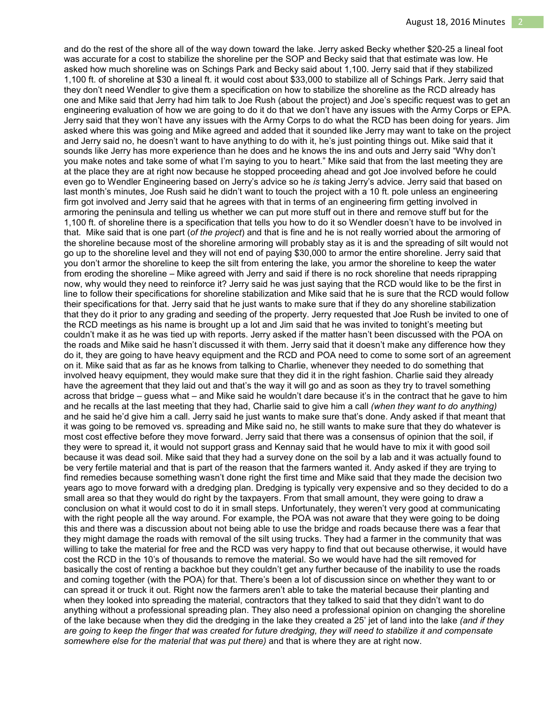and do the rest of the shore all of the way down toward the lake. Jerry asked Becky whether \$20-25 a lineal foot was accurate for a cost to stabilize the shoreline per the SOP and Becky said that that estimate was low. He asked how much shoreline was on Schings Park and Becky said about 1,100. Jerry said that if they stabilized 1,100 ft. of shoreline at \$30 a lineal ft. it would cost about \$33,000 to stabilize all of Schings Park. Jerry said that they don't need Wendler to give them a specification on how to stabilize the shoreline as the RCD already has one and Mike said that Jerry had him talk to Joe Rush (about the project) and Joe's specific request was to get an engineering evaluation of how we are going to do it do that we don't have any issues with the Army Corps or EPA. Jerry said that they won't have any issues with the Army Corps to do what the RCD has been doing for years. Jim asked where this was going and Mike agreed and added that it sounded like Jerry may want to take on the project and Jerry said no, he doesn't want to have anything to do with it, he's just pointing things out. Mike said that it sounds like Jerry has more experience than he does and he knows the ins and outs and Jerry said "Why don't you make notes and take some of what I'm saying to you to heart." Mike said that from the last meeting they are at the place they are at right now because he stopped proceeding ahead and got Joe involved before he could even go to Wendler Engineering based on Jerry's advice so he *is* taking Jerry's advice. Jerry said that based on last month's minutes, Joe Rush said he didn't want to touch the project with a 10 ft. pole unless an engineering firm got involved and Jerry said that he agrees with that in terms of an engineering firm getting involved in armoring the peninsula and telling us whether we can put more stuff out in there and remove stuff but for the 1,100 ft. of shoreline there is a specification that tells you how to do it so Wendler doesn't have to be involved in that. Mike said that is one part (*of the project*) and that is fine and he is not really worried about the armoring of the shoreline because most of the shoreline armoring will probably stay as it is and the spreading of silt would not go up to the shoreline level and they will not end of paying \$30,000 to armor the entire shoreline. Jerry said that you don't armor the shoreline to keep the silt from entering the lake, you armor the shoreline to keep the water from eroding the shoreline – Mike agreed with Jerry and said if there is no rock shoreline that needs riprapping now, why would they need to reinforce it? Jerry said he was just saying that the RCD would like to be the first in line to follow their specifications for shoreline stabilization and Mike said that he is sure that the RCD would follow their specifications for that. Jerry said that he just wants to make sure that if they do any shoreline stabilization that they do it prior to any grading and seeding of the property. Jerry requested that Joe Rush be invited to one of the RCD meetings as his name is brought up a lot and Jim said that he was invited to tonight's meeting but couldn't make it as he was tied up with reports. Jerry asked if the matter hasn't been discussed with the POA on the roads and Mike said he hasn't discussed it with them. Jerry said that it doesn't make any difference how they do it, they are going to have heavy equipment and the RCD and POA need to come to some sort of an agreement on it. Mike said that as far as he knows from talking to Charlie, whenever they needed to do something that involved heavy equipment, they would make sure that they did it in the right fashion. Charlie said they already have the agreement that they laid out and that's the way it will go and as soon as they try to travel something across that bridge – guess what – and Mike said he wouldn't dare because it's in the contract that he gave to him and he recalls at the last meeting that they had, Charlie said to give him a call *(when they want to do anything)* and he said he'd give him a call. Jerry said he just wants to make sure that's done. Andy asked if that meant that it was going to be removed vs. spreading and Mike said no, he still wants to make sure that they do whatever is most cost effective before they move forward. Jerry said that there was a consensus of opinion that the soil, if they were to spread it, it would not support grass and Kennay said that he would have to mix it with good soil because it was dead soil. Mike said that they had a survey done on the soil by a lab and it was actually found to be very fertile material and that is part of the reason that the farmers wanted it. Andy asked if they are trying to find remedies because something wasn't done right the first time and Mike said that they made the decision two years ago to move forward with a dredging plan. Dredging is typically very expensive and so they decided to do a small area so that they would do right by the taxpayers. From that small amount, they were going to draw a conclusion on what it would cost to do it in small steps. Unfortunately, they weren't very good at communicating with the right people all the way around. For example, the POA was not aware that they were going to be doing this and there was a discussion about not being able to use the bridge and roads because there was a fear that they might damage the roads with removal of the silt using trucks. They had a farmer in the community that was willing to take the material for free and the RCD was very happy to find that out because otherwise, it would have cost the RCD in the 10's of thousands to remove the material. So we would have had the silt removed for basically the cost of renting a backhoe but they couldn't get any further because of the inability to use the roads and coming together (with the POA) for that. There's been a lot of discussion since on whether they want to or can spread it or truck it out. Right now the farmers aren't able to take the material because their planting and when they looked into spreading the material, contractors that they talked to said that they didn't want to do anything without a professional spreading plan. They also need a professional opinion on changing the shoreline of the lake because when they did the dredging in the lake they created a 25' jet of land into the lake *(and if they are going to keep the finger that was created for future dredging, they will need to stabilize it and compensate somewhere else for the material that was put there)* and that is where they are at right now.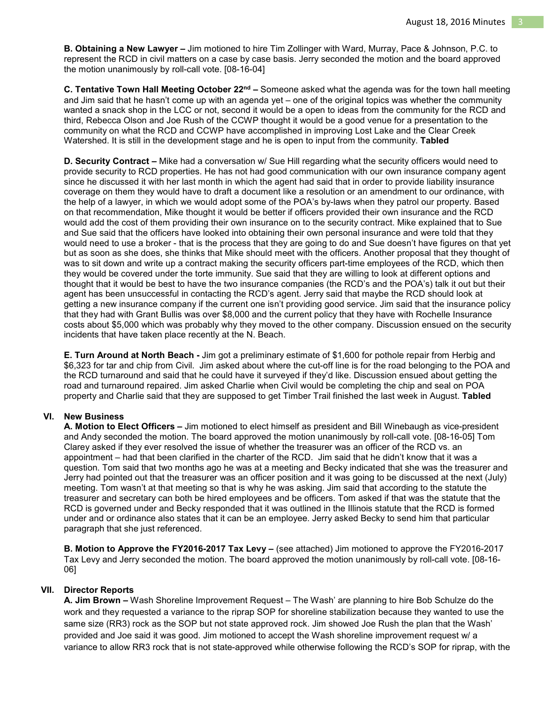**B. Obtaining a New Lawyer –** Jim motioned to hire Tim Zollinger with Ward, Murray, Pace & Johnson, P.C. to represent the RCD in civil matters on a case by case basis. Jerry seconded the motion and the board approved the motion unanimously by roll-call vote. [08-16-04]

**C. Tentative Town Hall Meeting October 22nd –** Someone asked what the agenda was for the town hall meeting and Jim said that he hasn't come up with an agenda yet – one of the original topics was whether the community wanted a snack shop in the LCC or not, second it would be a open to ideas from the community for the RCD and third, Rebecca Olson and Joe Rush of the CCWP thought it would be a good venue for a presentation to the community on what the RCD and CCWP have accomplished in improving Lost Lake and the Clear Creek Watershed. It is still in the development stage and he is open to input from the community. **Tabled** 

**D. Security Contract –** Mike had a conversation w/ Sue Hill regarding what the security officers would need to provide security to RCD properties. He has not had good communication with our own insurance company agent since he discussed it with her last month in which the agent had said that in order to provide liability insurance coverage on them they would have to draft a document like a resolution or an amendment to our ordinance, with the help of a lawyer, in which we would adopt some of the POA's by-laws when they patrol our property. Based on that recommendation, Mike thought it would be better if officers provided their own insurance and the RCD would add the cost of them providing their own insurance on to the security contract. Mike explained that to Sue and Sue said that the officers have looked into obtaining their own personal insurance and were told that they would need to use a broker - that is the process that they are going to do and Sue doesn't have figures on that yet but as soon as she does, she thinks that Mike should meet with the officers. Another proposal that they thought of was to sit down and write up a contract making the security officers part-time employees of the RCD, which then they would be covered under the torte immunity. Sue said that they are willing to look at different options and thought that it would be best to have the two insurance companies (the RCD's and the POA's) talk it out but their agent has been unsuccessful in contacting the RCD's agent. Jerry said that maybe the RCD should look at getting a new insurance company if the current one isn't providing good service. Jim said that the insurance policy that they had with Grant Bullis was over \$8,000 and the current policy that they have with Rochelle Insurance costs about \$5,000 which was probably why they moved to the other company. Discussion ensued on the security incidents that have taken place recently at the N. Beach.

**E. Turn Around at North Beach -** Jim got a preliminary estimate of \$1,600 for pothole repair from Herbig and \$6,323 for tar and chip from Civil. Jim asked about where the cut-off line is for the road belonging to the POA and the RCD turnaround and said that he could have it surveyed if they'd like. Discussion ensued about getting the road and turnaround repaired. Jim asked Charlie when Civil would be completing the chip and seal on POA property and Charlie said that they are supposed to get Timber Trail finished the last week in August. **Tabled** 

#### **VI. New Business**

**A. Motion to Elect Officers –** Jim motioned to elect himself as president and Bill Winebaugh as vice-president and Andy seconded the motion. The board approved the motion unanimously by roll-call vote. [08-16-05] Tom Clarey asked if they ever resolved the issue of whether the treasurer was an officer of the RCD vs. an appointment – had that been clarified in the charter of the RCD. Jim said that he didn't know that it was a question. Tom said that two months ago he was at a meeting and Becky indicated that she was the treasurer and Jerry had pointed out that the treasurer was an officer position and it was going to be discussed at the next (July) meeting. Tom wasn't at that meeting so that is why he was asking. Jim said that according to the statute the treasurer and secretary can both be hired employees and be officers. Tom asked if that was the statute that the RCD is governed under and Becky responded that it was outlined in the Illinois statute that the RCD is formed under and or ordinance also states that it can be an employee. Jerry asked Becky to send him that particular paragraph that she just referenced.

**B. Motion to Approve the FY2016-2017 Tax Levy –** (see attached) Jim motioned to approve the FY2016-2017 Tax Levy and Jerry seconded the motion. The board approved the motion unanimously by roll-call vote. [08-16- 06]

#### **VII. Director Reports**

**A. Jim Brown –** Wash Shoreline Improvement Request – The Wash' are planning to hire Bob Schulze do the work and they requested a variance to the riprap SOP for shoreline stabilization because they wanted to use the same size (RR3) rock as the SOP but not state approved rock. Jim showed Joe Rush the plan that the Wash' provided and Joe said it was good. Jim motioned to accept the Wash shoreline improvement request w/ a variance to allow RR3 rock that is not state-approved while otherwise following the RCD's SOP for riprap, with the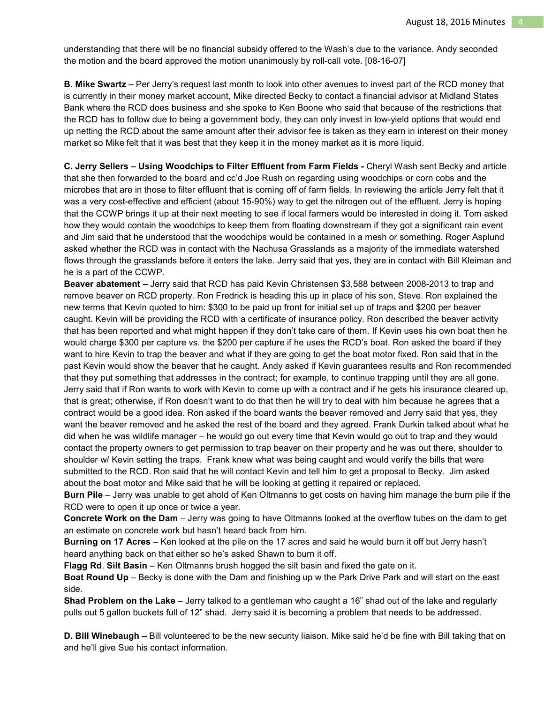understanding that there will be no financial subsidy offered to the Wash's due to the variance. Andy seconded the motion and the board approved the motion unanimously by roll-call vote. [08-16-07]

**B. Mike Swartz –** Per Jerry's request last month to look into other avenues to invest part of the RCD money that is currently in their money market account, Mike directed Becky to contact a financial advisor at Midland States Bank where the RCD does business and she spoke to Ken Boone who said that because of the restrictions that the RCD has to follow due to being a government body, they can only invest in low-yield options that would end up netting the RCD about the same amount after their advisor fee is taken as they earn in interest on their money market so Mike felt that it was best that they keep it in the money market as it is more liquid.

**C. Jerry Sellers – Using Woodchips to Filter Effluent from Farm Fields -** Cheryl Wash sent Becky and article that she then forwarded to the board and cc'd Joe Rush on regarding using woodchips or corn cobs and the microbes that are in those to filter effluent that is coming off of farm fields. In reviewing the article Jerry felt that it was a very cost-effective and efficient (about 15-90%) way to get the nitrogen out of the effluent. Jerry is hoping that the CCWP brings it up at their next meeting to see if local farmers would be interested in doing it. Tom asked how they would contain the woodchips to keep them from floating downstream if they got a significant rain event and Jim said that he understood that the woodchips would be contained in a mesh or something. Roger Asplund asked whether the RCD was in contact with the Nachusa Grasslands as a majority of the immediate watershed flows through the grasslands before it enters the lake. Jerry said that yes, they are in contact with Bill Kleiman and he is a part of the CCWP.

**Beaver abatement –** Jerry said that RCD has paid Kevin Christensen \$3,588 between 2008-2013 to trap and remove beaver on RCD property. Ron Fredrick is heading this up in place of his son, Steve. Ron explained the new terms that Kevin quoted to him: \$300 to be paid up front for initial set up of traps and \$200 per beaver caught. Kevin will be providing the RCD with a certificate of insurance policy. Ron described the beaver activity that has been reported and what might happen if they don't take care of them. If Kevin uses his own boat then he would charge \$300 per capture vs. the \$200 per capture if he uses the RCD's boat. Ron asked the board if they want to hire Kevin to trap the beaver and what if they are going to get the boat motor fixed. Ron said that in the past Kevin would show the beaver that he caught. Andy asked if Kevin guarantees results and Ron recommended that they put something that addresses in the contract; for example, to continue trapping until they are all gone. Jerry said that if Ron wants to work with Kevin to come up with a contract and if he gets his insurance cleared up, that is great; otherwise, if Ron doesn't want to do that then he will try to deal with him because he agrees that a contract would be a good idea. Ron asked if the board wants the beaver removed and Jerry said that yes, they want the beaver removed and he asked the rest of the board and they agreed. Frank Durkin talked about what he did when he was wildlife manager – he would go out every time that Kevin would go out to trap and they would contact the property owners to get permission to trap beaver on their property and he was out there, shoulder to shoulder w/ Kevin setting the traps. Frank knew what was being caught and would verify the bills that were submitted to the RCD. Ron said that he will contact Kevin and tell him to get a proposal to Becky. Jim asked about the boat motor and Mike said that he will be looking at getting it repaired or replaced.

**Burn Pile** – Jerry was unable to get ahold of Ken Oltmanns to get costs on having him manage the burn pile if the RCD were to open it up once or twice a year.

**Concrete Work on the Dam** – Jerry was going to have Oltmanns looked at the overflow tubes on the dam to get an estimate on concrete work but hasn't heard back from him.

**Burning on 17 Acres** – Ken looked at the pile on the 17 acres and said he would burn it off but Jerry hasn't heard anything back on that either so he's asked Shawn to burn it off.

**Flagg Rd**. **Silt Basin** – Ken Oltmanns brush hogged the silt basin and fixed the gate on it.

**Boat Round Up** – Becky is done with the Dam and finishing up w the Park Drive Park and will start on the east side.

**Shad Problem on the Lake** – Jerry talked to a gentleman who caught a 16" shad out of the lake and regularly pulls out 5 gallon buckets full of 12" shad. Jerry said it is becoming a problem that needs to be addressed.

**D. Bill Winebaugh –** Bill volunteered to be the new security liaison. Mike said he'd be fine with Bill taking that on and he'll give Sue his contact information.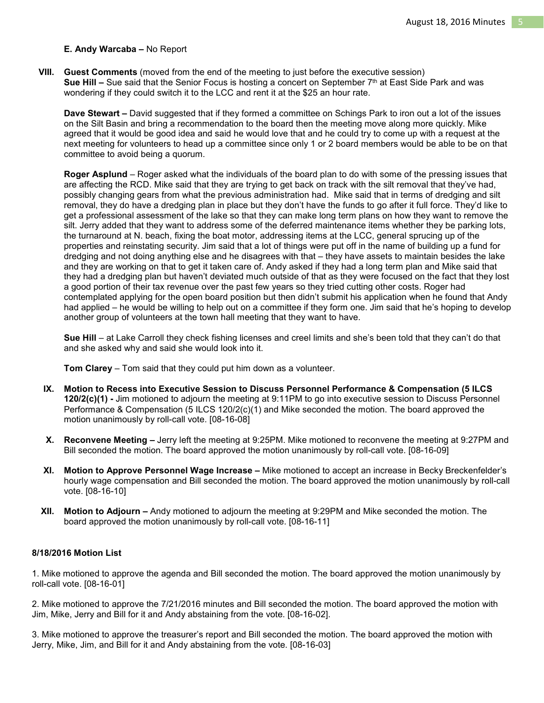## **E. Andy Warcaba –** No Report

**VIII. Guest Comments** (moved from the end of the meeting to just before the executive session) **Sue Hill –** Sue said that the Senior Focus is hosting a concert on September  $7<sup>th</sup>$  at East Side Park and was wondering if they could switch it to the LCC and rent it at the \$25 an hour rate.

**Dave Stewart –** David suggested that if they formed a committee on Schings Park to iron out a lot of the issues on the Silt Basin and bring a recommendation to the board then the meeting move along more quickly. Mike agreed that it would be good idea and said he would love that and he could try to come up with a request at the next meeting for volunteers to head up a committee since only 1 or 2 board members would be able to be on that committee to avoid being a quorum.

**Roger Asplund** – Roger asked what the individuals of the board plan to do with some of the pressing issues that are affecting the RCD. Mike said that they are trying to get back on track with the silt removal that they've had, possibly changing gears from what the previous administration had. Mike said that in terms of dredging and silt removal, they do have a dredging plan in place but they don't have the funds to go after it full force. They'd like to get a professional assessment of the lake so that they can make long term plans on how they want to remove the silt. Jerry added that they want to address some of the deferred maintenance items whether they be parking lots, the turnaround at N. beach, fixing the boat motor, addressing items at the LCC, general sprucing up of the properties and reinstating security. Jim said that a lot of things were put off in the name of building up a fund for dredging and not doing anything else and he disagrees with that – they have assets to maintain besides the lake and they are working on that to get it taken care of. Andy asked if they had a long term plan and Mike said that they had a dredging plan but haven't deviated much outside of that as they were focused on the fact that they lost a good portion of their tax revenue over the past few years so they tried cutting other costs. Roger had contemplated applying for the open board position but then didn't submit his application when he found that Andy had applied – he would be willing to help out on a committee if they form one. Jim said that he's hoping to develop another group of volunteers at the town hall meeting that they want to have.

**Sue Hill** – at Lake Carroll they check fishing licenses and creel limits and she's been told that they can't do that and she asked why and said she would look into it.

**Tom Clarey** – Tom said that they could put him down as a volunteer.

- **IX. Motion to Recess into Executive Session to Discuss Personnel Performance & Compensation (5 ILCS 120/2(c)(1) -** Jim motioned to adjourn the meeting at 9:11PM to go into executive session to Discuss Personnel Performance & Compensation (5 ILCS 120/2(c)(1) and Mike seconded the motion. The board approved the motion unanimously by roll-call vote. [08-16-08]
- **X. Reconvene Meeting** Jerry left the meeting at 9:25PM. Mike motioned to reconvene the meeting at 9:27PM and Bill seconded the motion. The board approved the motion unanimously by roll-call vote. [08-16-09]
- **XI. Motion to Approve Personnel Wage Increase** Mike motioned to accept an increase in Becky Breckenfelder's hourly wage compensation and Bill seconded the motion. The board approved the motion unanimously by roll-call vote. [08-16-10]
- **XII. Motion to Adjourn** Andy motioned to adjourn the meeting at 9:29PM and Mike seconded the motion. The board approved the motion unanimously by roll-call vote. [08-16-11]

#### **8/18/2016 Motion List**

1. Mike motioned to approve the agenda and Bill seconded the motion. The board approved the motion unanimously by roll-call vote. [08-16-01]

2. Mike motioned to approve the 7/21/2016 minutes and Bill seconded the motion. The board approved the motion with Jim, Mike, Jerry and Bill for it and Andy abstaining from the vote. [08-16-02].

3. Mike motioned to approve the treasurer's report and Bill seconded the motion. The board approved the motion with Jerry, Mike, Jim, and Bill for it and Andy abstaining from the vote. [08-16-03]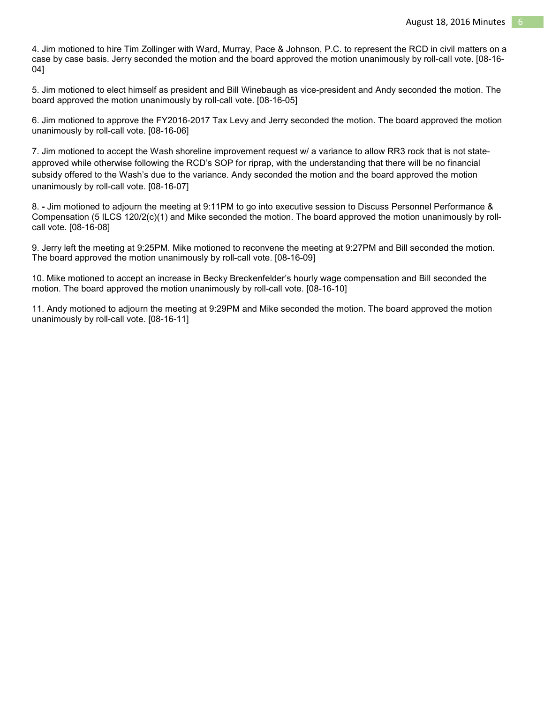4. Jim motioned to hire Tim Zollinger with Ward, Murray, Pace & Johnson, P.C. to represent the RCD in civil matters on a case by case basis. Jerry seconded the motion and the board approved the motion unanimously by roll-call vote. [08-16- 04]

5. Jim motioned to elect himself as president and Bill Winebaugh as vice-president and Andy seconded the motion. The board approved the motion unanimously by roll-call vote. [08-16-05]

6. Jim motioned to approve the FY2016-2017 Tax Levy and Jerry seconded the motion. The board approved the motion unanimously by roll-call vote. [08-16-06]

7. Jim motioned to accept the Wash shoreline improvement request w/ a variance to allow RR3 rock that is not stateapproved while otherwise following the RCD's SOP for riprap, with the understanding that there will be no financial subsidy offered to the Wash's due to the variance. Andy seconded the motion and the board approved the motion unanimously by roll-call vote. [08-16-07]

8. **-** Jim motioned to adjourn the meeting at 9:11PM to go into executive session to Discuss Personnel Performance & Compensation (5 ILCS 120/2(c)(1) and Mike seconded the motion. The board approved the motion unanimously by rollcall vote. [08-16-08]

9. Jerry left the meeting at 9:25PM. Mike motioned to reconvene the meeting at 9:27PM and Bill seconded the motion. The board approved the motion unanimously by roll-call vote. [08-16-09]

10. Mike motioned to accept an increase in Becky Breckenfelder's hourly wage compensation and Bill seconded the motion. The board approved the motion unanimously by roll-call vote. [08-16-10]

11. Andy motioned to adjourn the meeting at 9:29PM and Mike seconded the motion. The board approved the motion unanimously by roll-call vote. [08-16-11]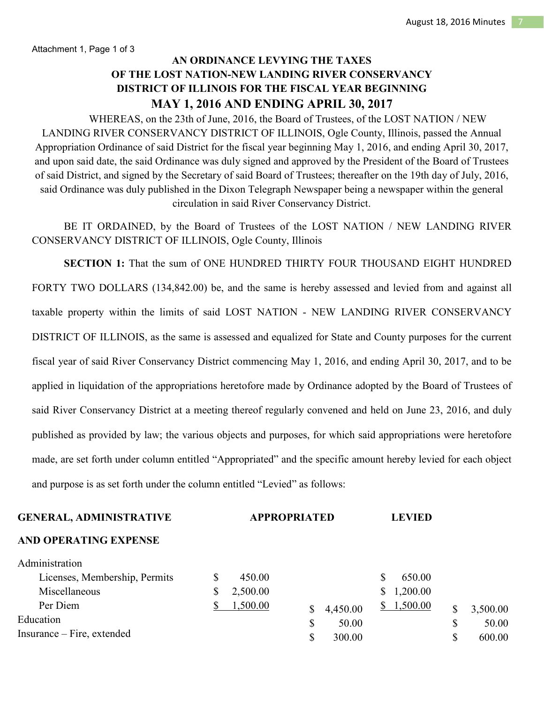Attachment 1, Page 1 of 3

# **AN ORDINANCE LEVYING THE TAXES OF THE LOST NATION-NEW LANDING RIVER CONSERVANCY DISTRICT OF ILLINOIS FOR THE FISCAL YEAR BEGINNING MAY 1, 2016 AND ENDING APRIL 30, 2017**

 WHEREAS, on the 23th of June, 2016, the Board of Trustees, of the LOST NATION / NEW LANDING RIVER CONSERVANCY DISTRICT OF ILLINOIS, Ogle County, Illinois, passed the Annual Appropriation Ordinance of said District for the fiscal year beginning May 1, 2016, and ending April 30, 2017, and upon said date, the said Ordinance was duly signed and approved by the President of the Board of Trustees of said District, and signed by the Secretary of said Board of Trustees; thereafter on the 19th day of July, 2016, said Ordinance was duly published in the Dixon Telegraph Newspaper being a newspaper within the general circulation in said River Conservancy District.

 BE IT ORDAINED, by the Board of Trustees of the LOST NATION / NEW LANDING RIVER CONSERVANCY DISTRICT OF ILLINOIS, Ogle County, Illinois

**SECTION 1:** That the sum of ONE HUNDRED THIRTY FOUR THOUSAND EIGHT HUNDRED FORTY TWO DOLLARS (134,842.00) be, and the same is hereby assessed and levied from and against all taxable property within the limits of said LOST NATION - NEW LANDING RIVER CONSERVANCY DISTRICT OF ILLINOIS, as the same is assessed and equalized for State and County purposes for the current fiscal year of said River Conservancy District commencing May 1, 2016, and ending April 30, 2017, and to be applied in liquidation of the appropriations heretofore made by Ordinance adopted by the Board of Trustees of said River Conservancy District at a meeting thereof regularly convened and held on June 23, 2016, and duly published as provided by law; the various objects and purposes, for which said appropriations were heretofore made, are set forth under column entitled "Appropriated" and the specific amount hereby levied for each object and purpose is as set forth under the column entitled "Levied" as follows:

| <b>APPROPRIATED</b> |              | <b>LEVIED</b>           |    |          |  |
|---------------------|--------------|-------------------------|----|----------|--|
|                     |              |                         |    |          |  |
|                     |              |                         |    |          |  |
| 450.00              |              | 650.00<br>S             |    |          |  |
| 2,500.00            |              | 1,200.00<br>\$          |    |          |  |
| 1,500.00            |              | \$1,500.00              |    | 3,500.00 |  |
|                     |              |                         |    | 50.00    |  |
|                     | \$<br>300.00 |                         | \$ | 600.00   |  |
|                     |              | 4,450.00<br>\$<br>50.00 |    | \$<br>\$ |  |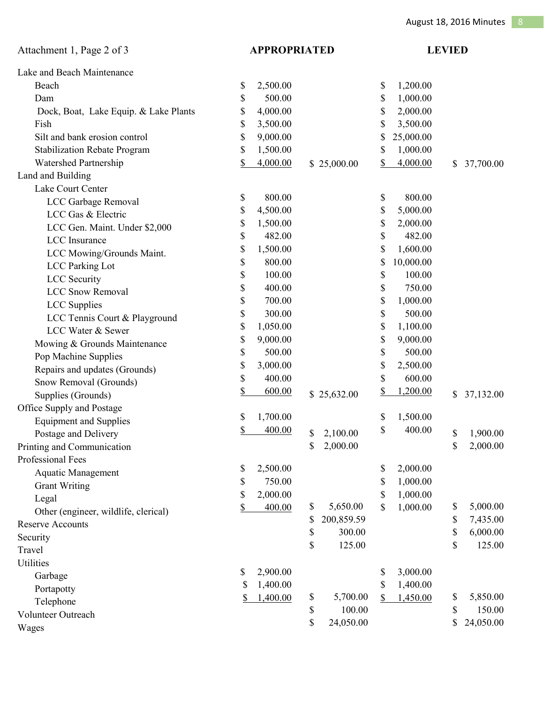| Attachment 1, Page 2 of 3             | <b>APPROPRIATED</b> |          | <b>LEVIED</b>    |                 |              |           |
|---------------------------------------|---------------------|----------|------------------|-----------------|--------------|-----------|
| Lake and Beach Maintenance            |                     |          |                  |                 |              |           |
| Beach                                 | \$                  | 2,500.00 |                  | \$<br>1,200.00  |              |           |
| Dam                                   | \$                  | 500.00   |                  | \$<br>1,000.00  |              |           |
| Dock, Boat, Lake Equip. & Lake Plants | \$                  | 4,000.00 |                  | \$<br>2,000.00  |              |           |
| Fish                                  | \$                  | 3,500.00 |                  | \$<br>3,500.00  |              |           |
| Silt and bank erosion control         | \$                  | 9,000.00 |                  | \$<br>25,000.00 |              |           |
| <b>Stabilization Rebate Program</b>   | \$                  | 1,500.00 |                  | \$<br>1,000.00  |              |           |
| Watershed Partnership                 | \$                  | 4,000.00 | \$25,000.00      | \$<br>4,000.00  | \$           | 37,700.00 |
| Land and Building                     |                     |          |                  |                 |              |           |
| Lake Court Center                     |                     |          |                  |                 |              |           |
| LCC Garbage Removal                   | \$                  | 800.00   |                  | \$<br>800.00    |              |           |
| LCC Gas & Electric                    | \$                  | 4,500.00 |                  | \$<br>5,000.00  |              |           |
| LCC Gen. Maint. Under \$2,000         | \$                  | 1,500.00 |                  | \$<br>2,000.00  |              |           |
| <b>LCC</b> Insurance                  | \$                  | 482.00   |                  | \$<br>482.00    |              |           |
| LCC Mowing/Grounds Maint.             | \$                  | 1,500.00 |                  | \$<br>1,600.00  |              |           |
| <b>LCC</b> Parking Lot                | \$                  | 800.00   |                  | \$<br>10,000.00 |              |           |
| <b>LCC</b> Security                   | \$                  | 100.00   |                  | \$<br>100.00    |              |           |
| <b>LCC Snow Removal</b>               | \$                  | 400.00   |                  | \$<br>750.00    |              |           |
| <b>LCC</b> Supplies                   | \$                  | 700.00   |                  | \$<br>1,000.00  |              |           |
| LCC Tennis Court & Playground         | \$                  | 300.00   |                  | \$<br>500.00    |              |           |
| LCC Water & Sewer                     | \$                  | 1,050.00 |                  | \$<br>1,100.00  |              |           |
| Mowing & Grounds Maintenance          | \$                  | 9,000.00 |                  | \$<br>9,000.00  |              |           |
| Pop Machine Supplies                  | \$                  | 500.00   |                  | \$<br>500.00    |              |           |
| Repairs and updates (Grounds)         | \$                  | 3,000.00 |                  | \$<br>2,500.00  |              |           |
| Snow Removal (Grounds)                | \$                  | 400.00   |                  | \$<br>600.00    |              |           |
| Supplies (Grounds)                    | \$                  | 600.00   | \$25,632.00      | \$<br>1,200.00  | $\mathbb{S}$ | 37,132.00 |
| Office Supply and Postage             |                     |          |                  |                 |              |           |
| <b>Equipment and Supplies</b>         | \$                  | 1,700.00 |                  | \$<br>1,500.00  |              |           |
| Postage and Delivery                  | <u>\$</u>           | 400.00   | \$<br>2,100.00   | \$<br>400.00    | \$           | 1,900.00  |
| Printing and Communication            |                     |          | \$<br>2,000.00   |                 | \$           | 2,000.00  |
| Professional Fees                     |                     |          |                  |                 |              |           |
| <b>Aquatic Management</b>             | \$                  | 2,500.00 |                  | \$<br>2,000.00  |              |           |
| <b>Grant Writing</b>                  | \$                  | 750.00   |                  | \$<br>1,000.00  |              |           |
| Legal                                 | \$                  | 2,000.00 |                  | \$<br>1,000.00  |              |           |
| Other (engineer, wildlife, clerical)  | <u>\$</u>           | 400.00   | \$<br>5,650.00   | \$<br>1,000.00  | \$           | 5,000.00  |
| <b>Reserve Accounts</b>               |                     |          | \$<br>200,859.59 |                 | \$           | 7,435.00  |
| Security                              |                     |          | \$<br>300.00     |                 | \$           | 6,000.00  |
| Travel                                |                     |          | \$<br>125.00     |                 | \$           | 125.00    |
| <b>Utilities</b>                      |                     |          |                  |                 |              |           |
| Garbage                               | \$                  | 2,900.00 |                  | \$<br>3,000.00  |              |           |
| Portapotty                            | S                   | 1,400.00 |                  | \$<br>1,400.00  |              |           |
| Telephone                             |                     | 1,400.00 | \$<br>5,700.00   | \$<br>1,450.00  | \$           | 5,850.00  |
| Volunteer Outreach                    |                     |          | \$<br>100.00     |                 | \$           | 150.00    |
| W                                     |                     |          | \$<br>24,050.00  |                 | \$           | 24,050.00 |

Wages